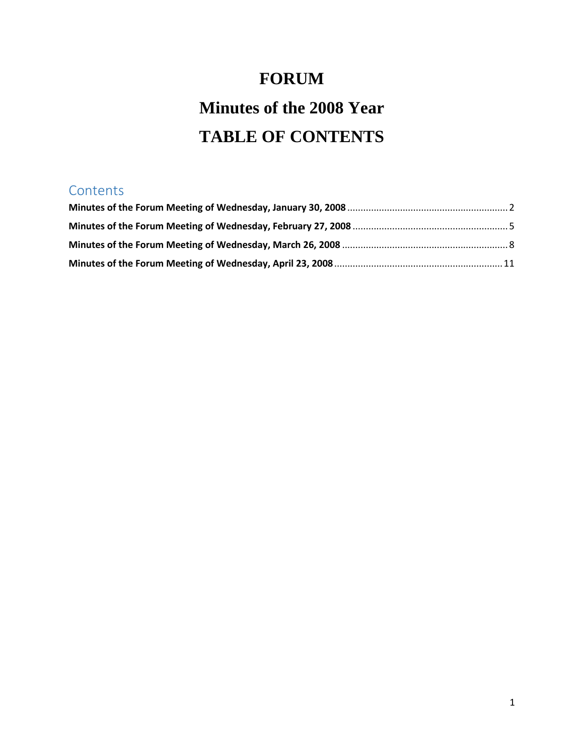# **FORUM**

# **Minutes of the 2008 Year TABLE OF CONTENTS**

# **Contents**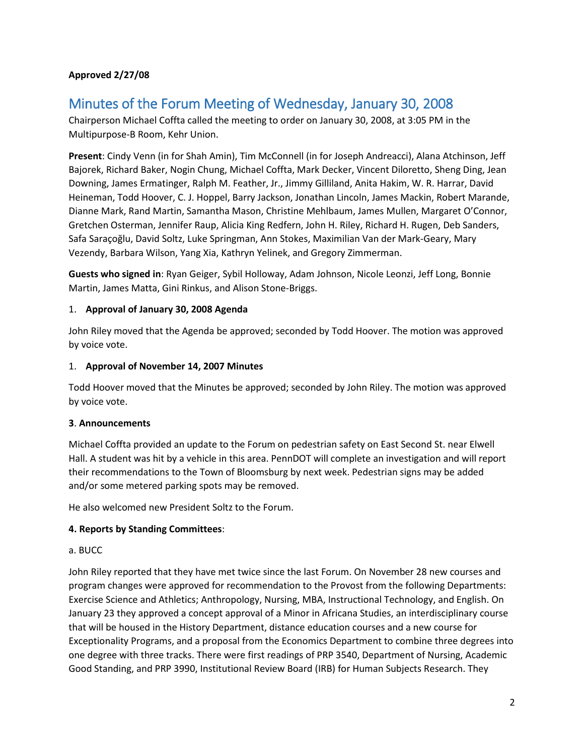# **Approved 2/27/08**

# <span id="page-1-0"></span>Minutes of the Forum Meeting of Wednesday, January 30, 2008

Chairperson Michael Coffta called the meeting to order on January 30, 2008, at 3:05 PM in the Multipurpose-B Room, Kehr Union.

**Present**: Cindy Venn (in for Shah Amin), Tim McConnell (in for Joseph Andreacci), Alana Atchinson, Jeff Bajorek, Richard Baker, Nogin Chung, Michael Coffta, Mark Decker, Vincent Diloretto, Sheng Ding, Jean Downing, James Ermatinger, Ralph M. Feather, Jr., Jimmy Gilliland, Anita Hakim, W. R. Harrar, David Heineman, Todd Hoover, C. J. Hoppel, Barry Jackson, Jonathan Lincoln, James Mackin, Robert Marande, Dianne Mark, Rand Martin, Samantha Mason, Christine Mehlbaum, James Mullen, Margaret O'Connor, Gretchen Osterman, Jennifer Raup, Alicia King Redfern, John H. Riley, Richard H. Rugen, Deb Sanders, Safa Saraçoğlu, David Soltz, Luke Springman, Ann Stokes, Maximilian Van der Mark-Geary, Mary Vezendy, Barbara Wilson, Yang Xia, Kathryn Yelinek, and Gregory Zimmerman.

**Guests who signed in**: Ryan Geiger, Sybil Holloway, Adam Johnson, Nicole Leonzi, Jeff Long, Bonnie Martin, James Matta, Gini Rinkus, and Alison Stone-Briggs.

### 1. **Approval of January 30, 2008 Agenda**

John Riley moved that the Agenda be approved; seconded by Todd Hoover. The motion was approved by voice vote.

#### 1. **Approval of November 14, 2007 Minutes**

Todd Hoover moved that the Minutes be approved; seconded by John Riley. The motion was approved by voice vote.

# **3**. **Announcements**

Michael Coffta provided an update to the Forum on pedestrian safety on East Second St. near Elwell Hall. A student was hit by a vehicle in this area. PennDOT will complete an investigation and will report their recommendations to the Town of Bloomsburg by next week. Pedestrian signs may be added and/or some metered parking spots may be removed.

He also welcomed new President Soltz to the Forum.

# **4. Reports by Standing Committees**:

#### a. BUCC

John Riley reported that they have met twice since the last Forum. On November 28 new courses and program changes were approved for recommendation to the Provost from the following Departments: Exercise Science and Athletics; Anthropology, Nursing, MBA, Instructional Technology, and English. On January 23 they approved a concept approval of a Minor in Africana Studies, an interdisciplinary course that will be housed in the History Department, distance education courses and a new course for Exceptionality Programs, and a proposal from the Economics Department to combine three degrees into one degree with three tracks. There were first readings of PRP 3540, Department of Nursing, Academic Good Standing, and PRP 3990, Institutional Review Board (IRB) for Human Subjects Research. They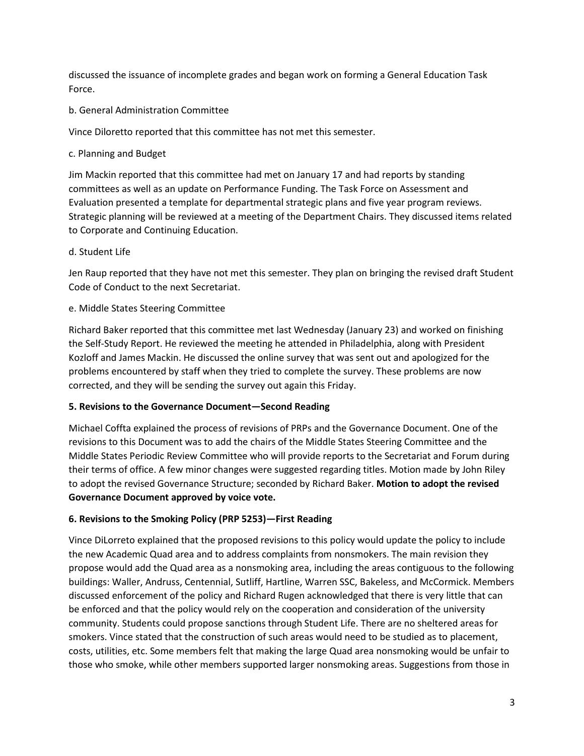discussed the issuance of incomplete grades and began work on forming a General Education Task Force.

b. General Administration Committee

Vince Diloretto reported that this committee has not met this semester.

#### c. Planning and Budget

Jim Mackin reported that this committee had met on January 17 and had reports by standing committees as well as an update on Performance Funding. The Task Force on Assessment and Evaluation presented a template for departmental strategic plans and five year program reviews. Strategic planning will be reviewed at a meeting of the Department Chairs. They discussed items related to Corporate and Continuing Education.

d. Student Life

Jen Raup reported that they have not met this semester. They plan on bringing the revised draft Student Code of Conduct to the next Secretariat.

### e. Middle States Steering Committee

Richard Baker reported that this committee met last Wednesday (January 23) and worked on finishing the Self-Study Report. He reviewed the meeting he attended in Philadelphia, along with President Kozloff and James Mackin. He discussed the online survey that was sent out and apologized for the problems encountered by staff when they tried to complete the survey. These problems are now corrected, and they will be sending the survey out again this Friday.

# **5. Revisions to the Governance Document—Second Reading**

Michael Coffta explained the process of revisions of PRPs and the Governance Document. One of the revisions to this Document was to add the chairs of the Middle States Steering Committee and the Middle States Periodic Review Committee who will provide reports to the Secretariat and Forum during their terms of office. A few minor changes were suggested regarding titles. Motion made by John Riley to adopt the revised Governance Structure; seconded by Richard Baker. **Motion to adopt the revised Governance Document approved by voice vote.** 

# **6. Revisions to the Smoking Policy (PRP 5253)—First Reading**

Vince DiLorreto explained that the proposed revisions to this policy would update the policy to include the new Academic Quad area and to address complaints from nonsmokers. The main revision they propose would add the Quad area as a nonsmoking area, including the areas contiguous to the following buildings: Waller, Andruss, Centennial, Sutliff, Hartline, Warren SSC, Bakeless, and McCormick. Members discussed enforcement of the policy and Richard Rugen acknowledged that there is very little that can be enforced and that the policy would rely on the cooperation and consideration of the university community. Students could propose sanctions through Student Life. There are no sheltered areas for smokers. Vince stated that the construction of such areas would need to be studied as to placement, costs, utilities, etc. Some members felt that making the large Quad area nonsmoking would be unfair to those who smoke, while other members supported larger nonsmoking areas. Suggestions from those in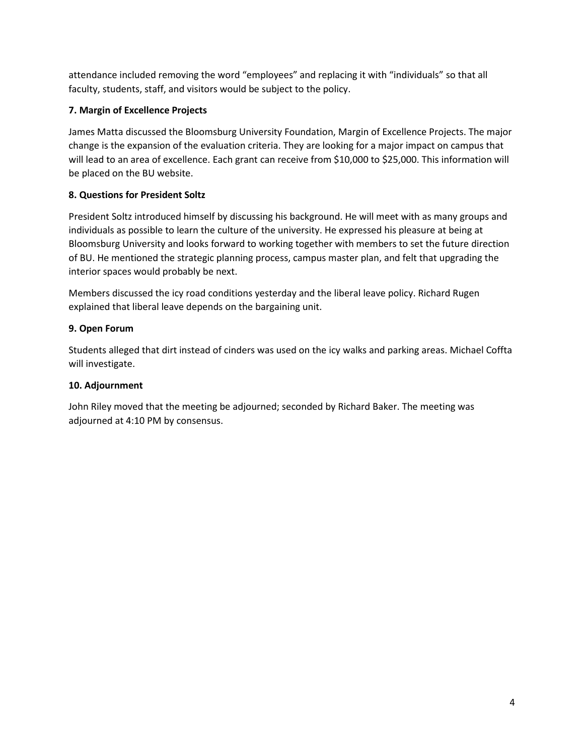attendance included removing the word "employees" and replacing it with "individuals" so that all faculty, students, staff, and visitors would be subject to the policy.

# **7. Margin of Excellence Projects**

James Matta discussed the Bloomsburg University Foundation, Margin of Excellence Projects. The major change is the expansion of the evaluation criteria. They are looking for a major impact on campus that will lead to an area of excellence. Each grant can receive from \$10,000 to \$25,000. This information will be placed on the BU website.

# **8. Questions for President Soltz**

President Soltz introduced himself by discussing his background. He will meet with as many groups and individuals as possible to learn the culture of the university. He expressed his pleasure at being at Bloomsburg University and looks forward to working together with members to set the future direction of BU. He mentioned the strategic planning process, campus master plan, and felt that upgrading the interior spaces would probably be next.

Members discussed the icy road conditions yesterday and the liberal leave policy. Richard Rugen explained that liberal leave depends on the bargaining unit.

# **9. Open Forum**

Students alleged that dirt instead of cinders was used on the icy walks and parking areas. Michael Coffta will investigate.

# **10. Adjournment**

John Riley moved that the meeting be adjourned; seconded by Richard Baker. The meeting was adjourned at 4:10 PM by consensus.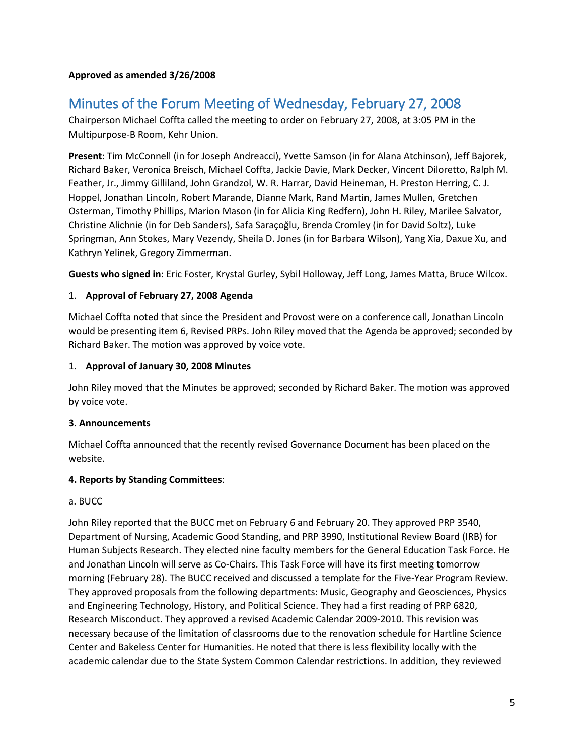#### **Approved as amended 3/26/2008**

# <span id="page-4-0"></span>Minutes of the Forum Meeting of Wednesday, February 27, 2008

Chairperson Michael Coffta called the meeting to order on February 27, 2008, at 3:05 PM in the Multipurpose-B Room, Kehr Union.

**Present**: Tim McConnell (in for Joseph Andreacci), Yvette Samson (in for Alana Atchinson), Jeff Bajorek, Richard Baker, Veronica Breisch, Michael Coffta, Jackie Davie, Mark Decker, Vincent Diloretto, Ralph M. Feather, Jr., Jimmy Gilliland, John Grandzol, W. R. Harrar, David Heineman, H. Preston Herring, C. J. Hoppel, Jonathan Lincoln, Robert Marande, Dianne Mark, Rand Martin, James Mullen, Gretchen Osterman, Timothy Phillips, Marion Mason (in for Alicia King Redfern), John H. Riley, Marilee Salvator, Christine Alichnie (in for Deb Sanders), Safa Saraçoğlu, Brenda Cromley (in for David Soltz), Luke Springman, Ann Stokes, Mary Vezendy, Sheila D. Jones (in for Barbara Wilson), Yang Xia, Daxue Xu, and Kathryn Yelinek, Gregory Zimmerman.

**Guests who signed in**: Eric Foster, Krystal Gurley, Sybil Holloway, Jeff Long, James Matta, Bruce Wilcox.

### 1. **Approval of February 27, 2008 Agenda**

Michael Coffta noted that since the President and Provost were on a conference call, Jonathan Lincoln would be presenting item 6, Revised PRPs. John Riley moved that the Agenda be approved; seconded by Richard Baker. The motion was approved by voice vote.

#### 1. **Approval of January 30, 2008 Minutes**

John Riley moved that the Minutes be approved; seconded by Richard Baker. The motion was approved by voice vote.

#### **3**. **Announcements**

Michael Coffta announced that the recently revised Governance Document has been placed on the website.

#### **4. Reports by Standing Committees**:

#### a. BUCC

John Riley reported that the BUCC met on February 6 and February 20. They approved PRP 3540, Department of Nursing, Academic Good Standing, and PRP 3990, Institutional Review Board (IRB) for Human Subjects Research. They elected nine faculty members for the General Education Task Force. He and Jonathan Lincoln will serve as Co-Chairs. This Task Force will have its first meeting tomorrow morning (February 28). The BUCC received and discussed a template for the Five-Year Program Review. They approved proposals from the following departments: Music, Geography and Geosciences, Physics and Engineering Technology, History, and Political Science. They had a first reading of PRP 6820, Research Misconduct. They approved a revised Academic Calendar 2009-2010. This revision was necessary because of the limitation of classrooms due to the renovation schedule for Hartline Science Center and Bakeless Center for Humanities. He noted that there is less flexibility locally with the academic calendar due to the State System Common Calendar restrictions. In addition, they reviewed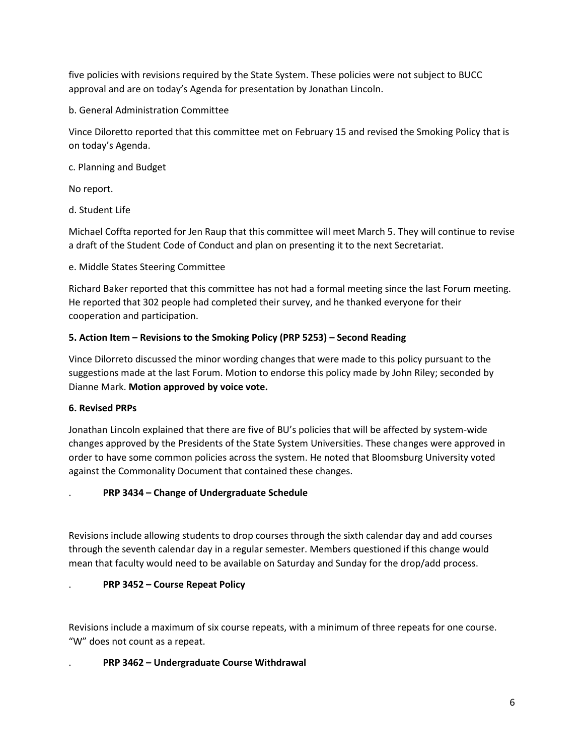five policies with revisions required by the State System. These policies were not subject to BUCC approval and are on today's Agenda for presentation by Jonathan Lincoln.

b. General Administration Committee

Vince Diloretto reported that this committee met on February 15 and revised the Smoking Policy that is on today's Agenda.

c. Planning and Budget

No report.

d. Student Life

Michael Coffta reported for Jen Raup that this committee will meet March 5. They will continue to revise a draft of the Student Code of Conduct and plan on presenting it to the next Secretariat.

e. Middle States Steering Committee

Richard Baker reported that this committee has not had a formal meeting since the last Forum meeting. He reported that 302 people had completed their survey, and he thanked everyone for their cooperation and participation.

# **5. Action Item – Revisions to the Smoking Policy (PRP 5253) – Second Reading**

Vince Dilorreto discussed the minor wording changes that were made to this policy pursuant to the suggestions made at the last Forum. Motion to endorse this policy made by John Riley; seconded by Dianne Mark. **Motion approved by voice vote.** 

# **6. Revised PRPs**

Jonathan Lincoln explained that there are five of BU's policies that will be affected by system-wide changes approved by the Presidents of the State System Universities. These changes were approved in order to have some common policies across the system. He noted that Bloomsburg University voted against the Commonality Document that contained these changes.

# . **PRP 3434 – Change of Undergraduate Schedule**

Revisions include allowing students to drop courses through the sixth calendar day and add courses through the seventh calendar day in a regular semester. Members questioned if this change would mean that faculty would need to be available on Saturday and Sunday for the drop/add process.

# . **PRP 3452 – Course Repeat Policy**

Revisions include a maximum of six course repeats, with a minimum of three repeats for one course. "W" does not count as a repeat.

# . **PRP 3462 – Undergraduate Course Withdrawal**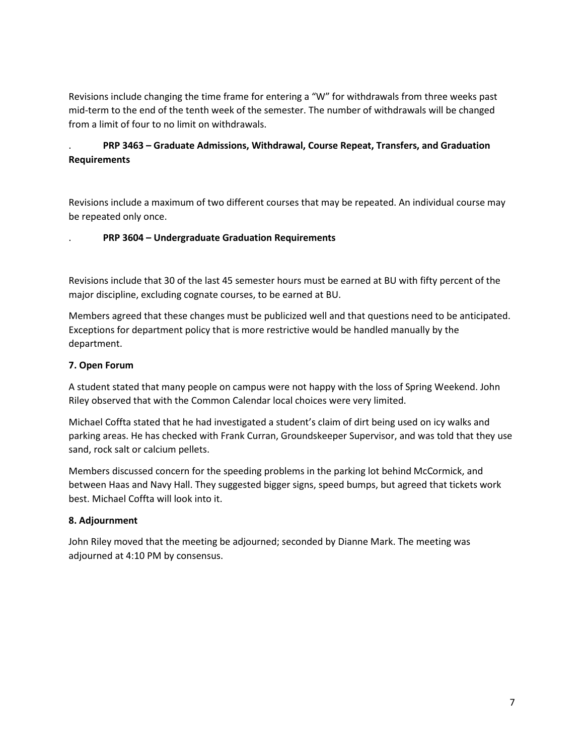Revisions include changing the time frame for entering a "W" for withdrawals from three weeks past mid-term to the end of the tenth week of the semester. The number of withdrawals will be changed from a limit of four to no limit on withdrawals.

# . **PRP 3463 – Graduate Admissions, Withdrawal, Course Repeat, Transfers, and Graduation Requirements**

Revisions include a maximum of two different courses that may be repeated. An individual course may be repeated only once.

### . **PRP 3604 – Undergraduate Graduation Requirements**

Revisions include that 30 of the last 45 semester hours must be earned at BU with fifty percent of the major discipline, excluding cognate courses, to be earned at BU.

Members agreed that these changes must be publicized well and that questions need to be anticipated. Exceptions for department policy that is more restrictive would be handled manually by the department.

### **7. Open Forum**

A student stated that many people on campus were not happy with the loss of Spring Weekend. John Riley observed that with the Common Calendar local choices were very limited.

Michael Coffta stated that he had investigated a student's claim of dirt being used on icy walks and parking areas. He has checked with Frank Curran, Groundskeeper Supervisor, and was told that they use sand, rock salt or calcium pellets.

Members discussed concern for the speeding problems in the parking lot behind McCormick, and between Haas and Navy Hall. They suggested bigger signs, speed bumps, but agreed that tickets work best. Michael Coffta will look into it.

# **8. Adjournment**

John Riley moved that the meeting be adjourned; seconded by Dianne Mark. The meeting was adjourned at 4:10 PM by consensus.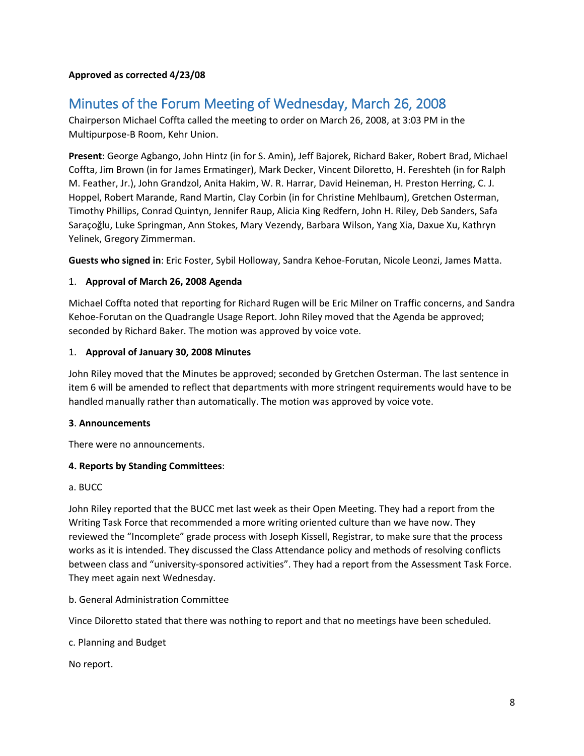#### **Approved as corrected 4/23/08**

# <span id="page-7-0"></span>Minutes of the Forum Meeting of Wednesday, March 26, 2008

Chairperson Michael Coffta called the meeting to order on March 26, 2008, at 3:03 PM in the Multipurpose-B Room, Kehr Union.

**Present**: George Agbango, John Hintz (in for S. Amin), Jeff Bajorek, Richard Baker, Robert Brad, Michael Coffta, Jim Brown (in for James Ermatinger), Mark Decker, Vincent Diloretto, H. Fereshteh (in for Ralph M. Feather, Jr.), John Grandzol, Anita Hakim, W. R. Harrar, David Heineman, H. Preston Herring, C. J. Hoppel, Robert Marande, Rand Martin, Clay Corbin (in for Christine Mehlbaum), Gretchen Osterman, Timothy Phillips, Conrad Quintyn, Jennifer Raup, Alicia King Redfern, John H. Riley, Deb Sanders, Safa Saraçoğlu, Luke Springman, Ann Stokes, Mary Vezendy, Barbara Wilson, Yang Xia, Daxue Xu, Kathryn Yelinek, Gregory Zimmerman.

**Guests who signed in**: Eric Foster, Sybil Holloway, Sandra Kehoe-Forutan, Nicole Leonzi, James Matta.

### 1. **Approval of March 26, 2008 Agenda**

Michael Coffta noted that reporting for Richard Rugen will be Eric Milner on Traffic concerns, and Sandra Kehoe-Forutan on the Quadrangle Usage Report. John Riley moved that the Agenda be approved; seconded by Richard Baker. The motion was approved by voice vote.

#### 1. **Approval of January 30, 2008 Minutes**

John Riley moved that the Minutes be approved; seconded by Gretchen Osterman. The last sentence in item 6 will be amended to reflect that departments with more stringent requirements would have to be handled manually rather than automatically. The motion was approved by voice vote.

#### **3**. **Announcements**

There were no announcements.

#### **4. Reports by Standing Committees**:

# a. BUCC

John Riley reported that the BUCC met last week as their Open Meeting. They had a report from the Writing Task Force that recommended a more writing oriented culture than we have now. They reviewed the "Incomplete" grade process with Joseph Kissell, Registrar, to make sure that the process works as it is intended. They discussed the Class Attendance policy and methods of resolving conflicts between class and "university-sponsored activities". They had a report from the Assessment Task Force. They meet again next Wednesday.

b. General Administration Committee

Vince Diloretto stated that there was nothing to report and that no meetings have been scheduled.

c. Planning and Budget

No report.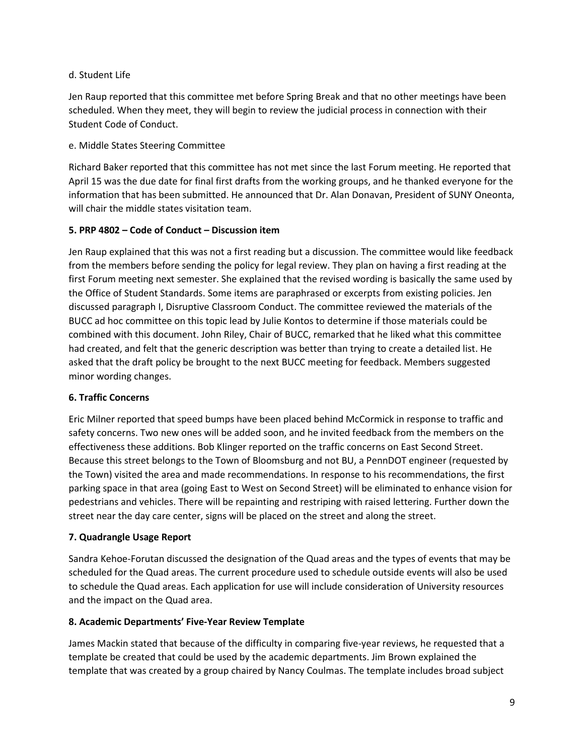### d. Student Life

Jen Raup reported that this committee met before Spring Break and that no other meetings have been scheduled. When they meet, they will begin to review the judicial process in connection with their Student Code of Conduct.

### e. Middle States Steering Committee

Richard Baker reported that this committee has not met since the last Forum meeting. He reported that April 15 was the due date for final first drafts from the working groups, and he thanked everyone for the information that has been submitted. He announced that Dr. Alan Donavan, President of SUNY Oneonta, will chair the middle states visitation team.

### **5. PRP 4802 – Code of Conduct – Discussion item**

Jen Raup explained that this was not a first reading but a discussion. The committee would like feedback from the members before sending the policy for legal review. They plan on having a first reading at the first Forum meeting next semester. She explained that the revised wording is basically the same used by the Office of Student Standards. Some items are paraphrased or excerpts from existing policies. Jen discussed paragraph I, Disruptive Classroom Conduct. The committee reviewed the materials of the BUCC ad hoc committee on this topic lead by Julie Kontos to determine if those materials could be combined with this document. John Riley, Chair of BUCC, remarked that he liked what this committee had created, and felt that the generic description was better than trying to create a detailed list. He asked that the draft policy be brought to the next BUCC meeting for feedback. Members suggested minor wording changes.

#### **6. Traffic Concerns**

Eric Milner reported that speed bumps have been placed behind McCormick in response to traffic and safety concerns. Two new ones will be added soon, and he invited feedback from the members on the effectiveness these additions. Bob Klinger reported on the traffic concerns on East Second Street. Because this street belongs to the Town of Bloomsburg and not BU, a PennDOT engineer (requested by the Town) visited the area and made recommendations. In response to his recommendations, the first parking space in that area (going East to West on Second Street) will be eliminated to enhance vision for pedestrians and vehicles. There will be repainting and restriping with raised lettering. Further down the street near the day care center, signs will be placed on the street and along the street.

# **7. Quadrangle Usage Report**

Sandra Kehoe-Forutan discussed the designation of the Quad areas and the types of events that may be scheduled for the Quad areas. The current procedure used to schedule outside events will also be used to schedule the Quad areas. Each application for use will include consideration of University resources and the impact on the Quad area.

# **8. Academic Departments' Five-Year Review Template**

James Mackin stated that because of the difficulty in comparing five-year reviews, he requested that a template be created that could be used by the academic departments. Jim Brown explained the template that was created by a group chaired by Nancy Coulmas. The template includes broad subject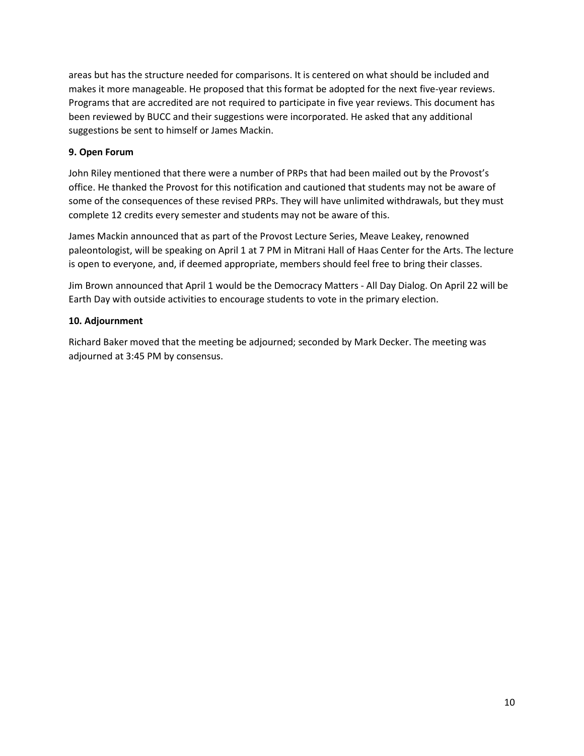areas but has the structure needed for comparisons. It is centered on what should be included and makes it more manageable. He proposed that this format be adopted for the next five-year reviews. Programs that are accredited are not required to participate in five year reviews. This document has been reviewed by BUCC and their suggestions were incorporated. He asked that any additional suggestions be sent to himself or James Mackin.

# **9. Open Forum**

John Riley mentioned that there were a number of PRPs that had been mailed out by the Provost's office. He thanked the Provost for this notification and cautioned that students may not be aware of some of the consequences of these revised PRPs. They will have unlimited withdrawals, but they must complete 12 credits every semester and students may not be aware of this.

James Mackin announced that as part of the Provost Lecture Series, Meave Leakey, renowned paleontologist, will be speaking on April 1 at 7 PM in Mitrani Hall of Haas Center for the Arts. The lecture is open to everyone, and, if deemed appropriate, members should feel free to bring their classes.

Jim Brown announced that April 1 would be the Democracy Matters - All Day Dialog. On April 22 will be Earth Day with outside activities to encourage students to vote in the primary election.

### **10. Adjournment**

Richard Baker moved that the meeting be adjourned; seconded by Mark Decker. The meeting was adjourned at 3:45 PM by consensus.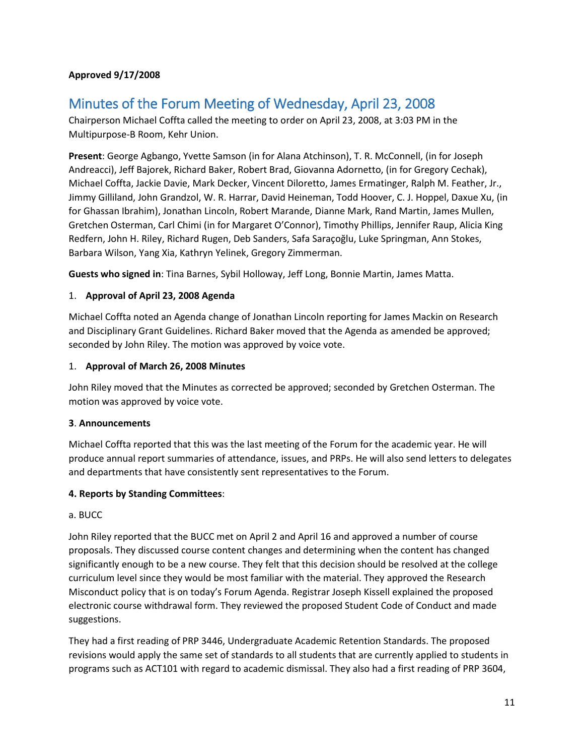### **Approved 9/17/2008**

# <span id="page-10-0"></span>Minutes of the Forum Meeting of Wednesday, April 23, 2008

Chairperson Michael Coffta called the meeting to order on April 23, 2008, at 3:03 PM in the Multipurpose-B Room, Kehr Union.

**Present**: George Agbango, Yvette Samson (in for Alana Atchinson), T. R. McConnell, (in for Joseph Andreacci), Jeff Bajorek, Richard Baker, Robert Brad, Giovanna Adornetto, (in for Gregory Cechak), Michael Coffta, Jackie Davie, Mark Decker, Vincent Diloretto, James Ermatinger, Ralph M. Feather, Jr., Jimmy Gilliland, John Grandzol, W. R. Harrar, David Heineman, Todd Hoover, C. J. Hoppel, Daxue Xu, (in for Ghassan Ibrahim), Jonathan Lincoln, Robert Marande, Dianne Mark, Rand Martin, James Mullen, Gretchen Osterman, Carl Chimi (in for Margaret O'Connor), Timothy Phillips, Jennifer Raup, Alicia King Redfern, John H. Riley, Richard Rugen, Deb Sanders, Safa Saraçoğlu, Luke Springman, Ann Stokes, Barbara Wilson, Yang Xia, Kathryn Yelinek, Gregory Zimmerman.

**Guests who signed in**: Tina Barnes, Sybil Holloway, Jeff Long, Bonnie Martin, James Matta.

### 1. **Approval of April 23, 2008 Agenda**

Michael Coffta noted an Agenda change of Jonathan Lincoln reporting for James Mackin on Research and Disciplinary Grant Guidelines. Richard Baker moved that the Agenda as amended be approved; seconded by John Riley. The motion was approved by voice vote.

#### 1. **Approval of March 26, 2008 Minutes**

John Riley moved that the Minutes as corrected be approved; seconded by Gretchen Osterman. The motion was approved by voice vote.

#### **3**. **Announcements**

Michael Coffta reported that this was the last meeting of the Forum for the academic year. He will produce annual report summaries of attendance, issues, and PRPs. He will also send letters to delegates and departments that have consistently sent representatives to the Forum.

#### **4. Reports by Standing Committees**:

#### a. BUCC

John Riley reported that the BUCC met on April 2 and April 16 and approved a number of course proposals. They discussed course content changes and determining when the content has changed significantly enough to be a new course. They felt that this decision should be resolved at the college curriculum level since they would be most familiar with the material. They approved the Research Misconduct policy that is on today's Forum Agenda. Registrar Joseph Kissell explained the proposed electronic course withdrawal form. They reviewed the proposed Student Code of Conduct and made suggestions.

They had a first reading of PRP 3446, Undergraduate Academic Retention Standards. The proposed revisions would apply the same set of standards to all students that are currently applied to students in programs such as ACT101 with regard to academic dismissal. They also had a first reading of PRP 3604,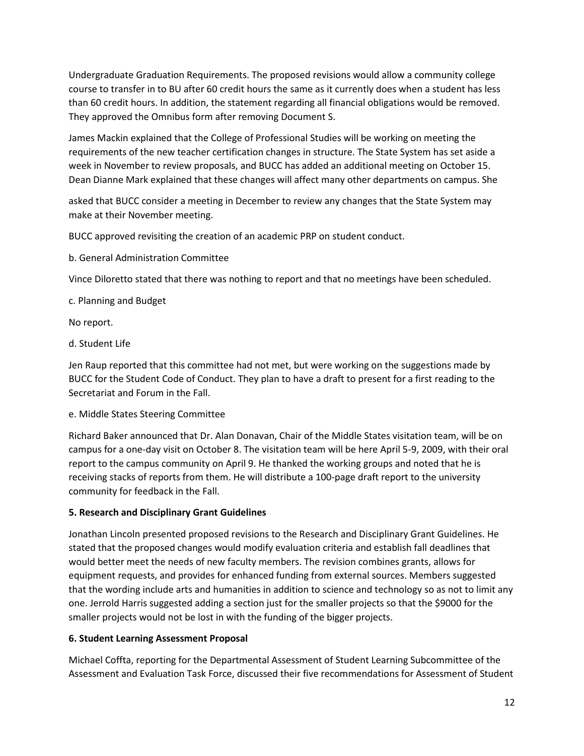Undergraduate Graduation Requirements. The proposed revisions would allow a community college course to transfer in to BU after 60 credit hours the same as it currently does when a student has less than 60 credit hours. In addition, the statement regarding all financial obligations would be removed. They approved the Omnibus form after removing Document S.

James Mackin explained that the College of Professional Studies will be working on meeting the requirements of the new teacher certification changes in structure. The State System has set aside a week in November to review proposals, and BUCC has added an additional meeting on October 15. Dean Dianne Mark explained that these changes will affect many other departments on campus. She

asked that BUCC consider a meeting in December to review any changes that the State System may make at their November meeting.

BUCC approved revisiting the creation of an academic PRP on student conduct.

b. General Administration Committee

Vince Diloretto stated that there was nothing to report and that no meetings have been scheduled.

c. Planning and Budget

No report.

d. Student Life

Jen Raup reported that this committee had not met, but were working on the suggestions made by BUCC for the Student Code of Conduct. They plan to have a draft to present for a first reading to the Secretariat and Forum in the Fall.

e. Middle States Steering Committee

Richard Baker announced that Dr. Alan Donavan, Chair of the Middle States visitation team, will be on campus for a one-day visit on October 8. The visitation team will be here April 5-9, 2009, with their oral report to the campus community on April 9. He thanked the working groups and noted that he is receiving stacks of reports from them. He will distribute a 100-page draft report to the university community for feedback in the Fall.

# **5. Research and Disciplinary Grant Guidelines**

Jonathan Lincoln presented proposed revisions to the Research and Disciplinary Grant Guidelines. He stated that the proposed changes would modify evaluation criteria and establish fall deadlines that would better meet the needs of new faculty members. The revision combines grants, allows for equipment requests, and provides for enhanced funding from external sources. Members suggested that the wording include arts and humanities in addition to science and technology so as not to limit any one. Jerrold Harris suggested adding a section just for the smaller projects so that the \$9000 for the smaller projects would not be lost in with the funding of the bigger projects.

# **6. Student Learning Assessment Proposal**

Michael Coffta, reporting for the Departmental Assessment of Student Learning Subcommittee of the Assessment and Evaluation Task Force, discussed their five recommendations for Assessment of Student